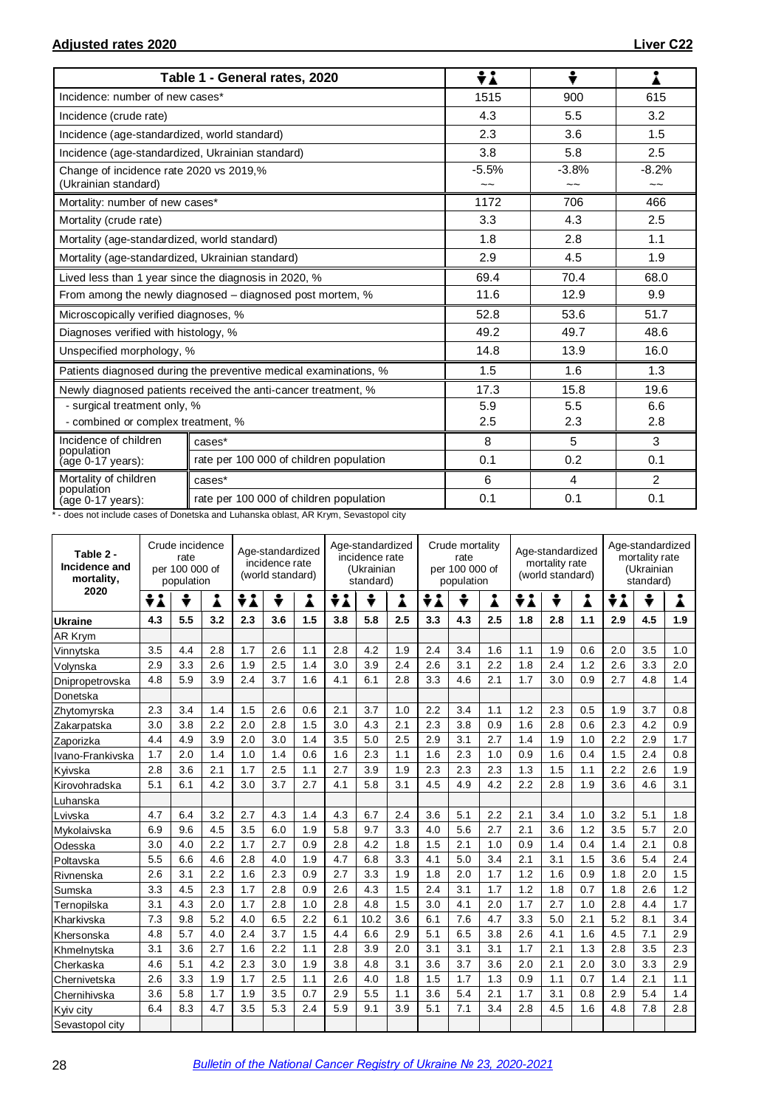|                                                                 | Table 1 - General rates, 2020                                    | ÷λ                                   | ÷                                    | i                        |
|-----------------------------------------------------------------|------------------------------------------------------------------|--------------------------------------|--------------------------------------|--------------------------|
| Incidence: number of new cases*                                 |                                                                  | 1515                                 | 900                                  | 615                      |
| Incidence (crude rate)                                          |                                                                  | 4.3                                  | 5.5                                  | 3.2                      |
| Incidence (age-standardized, world standard)                    |                                                                  | 2.3                                  | 3.6                                  | 1.5                      |
| Incidence (age-standardized, Ukrainian standard)                |                                                                  | 3.8                                  | 5.8                                  | 2.5                      |
| Change of incidence rate 2020 vs 2019,%<br>(Ukrainian standard) |                                                                  | $-5.5%$<br>$\widetilde{\phantom{a}}$ | $-3.8%$<br>$\widetilde{\phantom{a}}$ | $-8.2%$<br>$\sim$ $\sim$ |
| Mortality: number of new cases*                                 |                                                                  | 1172                                 | 706                                  | 466                      |
| Mortality (crude rate)                                          |                                                                  | 3.3                                  | 4.3                                  | 2.5                      |
| Mortality (age-standardized, world standard)                    |                                                                  | 1.8                                  | 2.8                                  | 1.1                      |
| Mortality (age-standardized, Ukrainian standard)                |                                                                  | 2.9                                  | 4.5                                  | 1.9                      |
|                                                                 | Lived less than 1 year since the diagnosis in 2020, %            | 69.4                                 | 70.4                                 | 68.0                     |
|                                                                 | From among the newly diagnosed – diagnosed post mortem, %        | 11.6                                 | 12.9                                 | 9.9                      |
| Microscopically verified diagnoses, %                           |                                                                  | 52.8                                 | 53.6                                 | 51.7                     |
| Diagnoses verified with histology, %                            |                                                                  | 49.2                                 | 49.7                                 | 48.6                     |
| Unspecified morphology, %                                       |                                                                  | 14.8                                 | 13.9                                 | 16.0                     |
|                                                                 | Patients diagnosed during the preventive medical examinations, % | 1.5                                  | 1.6                                  | 1.3                      |
|                                                                 | Newly diagnosed patients received the anti-cancer treatment, %   | 17.3                                 | 15.8                                 | 19.6                     |
| - surgical treatment only, %                                    |                                                                  | 5.9                                  | 5.5                                  | 6.6                      |
| - combined or complex treatment, %                              |                                                                  | 2.5                                  | 2.3                                  | 2.8                      |
| Incidence of children<br>population                             | cases*                                                           | 8                                    | 5                                    | 3                        |
| (age 0-17 years):                                               | rate per 100 000 of children population                          | 0.1                                  | 0.2                                  | 0.1                      |
| Mortality of children<br>population                             | cases*                                                           | 6                                    | 4                                    | $\overline{2}$           |
| (age 0-17 years):                                               | rate per 100 000 of children population                          | 0.1                                  | 0.1                                  | 0.1                      |

\* - does not include cases of Donetska and Luhanska oblast, AR Krym, Sevastopol city

| Table 2 -<br>Incidence and<br>mortality, | Crude incidence<br>rate<br>per 100 000 of<br>population |     |     | Age-standardized<br>incidence rate<br>(world standard) |     |     | Age-standardized<br>incidence rate<br>(Ukrainian<br>standard) |      |     | Crude mortality<br>rate<br>per 100 000 of<br>population |     |     | Age-standardized<br>mortality rate<br>(world standard) |     |     | Age-standardized<br>mortality rate<br>(Ukrainian<br>standard) |     |     |
|------------------------------------------|---------------------------------------------------------|-----|-----|--------------------------------------------------------|-----|-----|---------------------------------------------------------------|------|-----|---------------------------------------------------------|-----|-----|--------------------------------------------------------|-----|-----|---------------------------------------------------------------|-----|-----|
| 2020                                     | ÷i                                                      | ÷   | Å   | ÷i                                                     | ÷   | Å   | ÷i                                                            | ÷    | Å   | ÷i                                                      | ÷   | Å   | ÷<br>Å<br>÷i                                           |     |     | ≑i                                                            | ÷   | Å   |
| <b>Ukraine</b>                           | 4.3                                                     | 5.5 | 3.2 | 2.3                                                    | 3.6 | 1.5 | 3.8                                                           | 5.8  | 2.5 | 3.3                                                     | 4.3 | 2.5 | 1.8                                                    | 2.8 | 1.1 | 2.9                                                           | 4.5 | 1.9 |
| AR Krym                                  |                                                         |     |     |                                                        |     |     |                                                               |      |     |                                                         |     |     |                                                        |     |     |                                                               |     |     |
| Vinnytska                                | 3.5                                                     | 4.4 | 2.8 | 1.7                                                    | 2.6 | 1.1 | 2.8                                                           | 4.2  | 1.9 | 2.4                                                     | 3.4 | 1.6 | 1.1                                                    | 1.9 | 0.6 | 2.0                                                           | 3.5 | 1.0 |
| Volynska                                 | 2.9                                                     | 3.3 | 2.6 | 1.9                                                    | 2.5 | 1.4 | 3.0                                                           | 3.9  | 2.4 | 2.6                                                     | 3.1 | 2.2 | 1.8                                                    | 2.4 | 1.2 | 2.6                                                           | 3.3 | 2.0 |
| Dnipropetrovska                          | 4.8                                                     | 5.9 | 3.9 | 2.4                                                    | 3.7 | 1.6 | 4.1                                                           | 6.1  | 2.8 | 3.3                                                     | 4.6 | 2.1 | 1.7                                                    | 3.0 | 0.9 | 2.7                                                           | 4.8 | 1.4 |
| Donetska                                 |                                                         |     |     |                                                        |     |     |                                                               |      |     |                                                         |     |     |                                                        |     |     |                                                               |     |     |
| Zhytomyrska                              | 2.3                                                     | 3.4 | 1.4 | 1.5                                                    | 2.6 | 0.6 | 2.1                                                           | 3.7  | 1.0 | 2.2                                                     | 3.4 | 1.1 | 1.2                                                    | 2.3 | 0.5 | 1.9                                                           | 3.7 | 0.8 |
| Zakarpatska                              | 3.0                                                     | 3.8 | 2.2 | 2.0                                                    | 2.8 | 1.5 | 3.0                                                           | 4.3  | 2.1 | 2.3                                                     | 3.8 | 0.9 | 1.6                                                    | 2.8 | 0.6 | 2.3                                                           | 4.2 | 0.9 |
| Zaporizka                                | 4.4                                                     | 4.9 | 3.9 | 2.0                                                    | 3.0 | 1.4 | 3.5                                                           | 5.0  | 2.5 | 2.9                                                     | 3.1 | 2.7 | 1.4                                                    | 1.9 | 1.0 | 2.2                                                           | 2.9 | 1.7 |
| Ivano-Frankivska                         | 1.7                                                     | 2.0 | 1.4 | 1.0                                                    | 1.4 | 0.6 | 1.6                                                           | 2.3  | 1.1 | 1.6                                                     | 2.3 | 1.0 | 0.9                                                    | 1.6 | 0.4 | 1.5                                                           | 2.4 | 0.8 |
| Kyivska                                  | 2.8                                                     | 3.6 | 2.1 | 1.7                                                    | 2.5 | 1.1 | 2.7                                                           | 3.9  | 1.9 | 2.3                                                     | 2.3 | 2.3 | 1.3                                                    | 1.5 | 1.1 | 2.2                                                           | 2.6 | 1.9 |
| Kirovohradska                            | 5.1                                                     | 6.1 | 4.2 | 3.0                                                    | 3.7 | 2.7 | 4.1                                                           | 5.8  | 3.1 | 4.5                                                     | 4.9 | 4.2 | 2.2                                                    | 2.8 | 1.9 | 3.6                                                           | 4.6 | 3.1 |
| Luhanska                                 |                                                         |     |     |                                                        |     |     |                                                               |      |     |                                                         |     |     |                                                        |     |     |                                                               |     |     |
| Lvivska                                  | 4.7                                                     | 6.4 | 3.2 | 2.7                                                    | 4.3 | 1.4 | 4.3                                                           | 6.7  | 2.4 | 3.6                                                     | 5.1 | 2.2 | 2.1                                                    | 3.4 | 1.0 | 3.2                                                           | 5.1 | 1.8 |
| Mvkolaivska                              | 6.9                                                     | 9.6 | 4.5 | 3.5                                                    | 6.0 | 1.9 | 5.8                                                           | 9.7  | 3.3 | 4.0                                                     | 5.6 | 2.7 | 2.1                                                    | 3.6 | 1.2 | 3.5                                                           | 5.7 | 2.0 |
| Odesska                                  | 3.0                                                     | 4.0 | 2.2 | 1.7                                                    | 2.7 | 0.9 | 2.8                                                           | 4.2  | 1.8 | 1.5                                                     | 2.1 | 1.0 | 0.9                                                    | 1.4 | 0.4 | 1.4                                                           | 2.1 | 0.8 |
| Poltavska                                | 5.5                                                     | 6.6 | 4.6 | 2.8                                                    | 4.0 | 1.9 | 4.7                                                           | 6.8  | 3.3 | 4.1                                                     | 5.0 | 3.4 | 2.1                                                    | 3.1 | 1.5 | 3.6                                                           | 5.4 | 2.4 |
| Rivnenska                                | 2.6                                                     | 3.1 | 2.2 | 1.6                                                    | 2.3 | 0.9 | 2.7                                                           | 3.3  | 1.9 | 1.8                                                     | 2.0 | 1.7 | 1.2                                                    | 1.6 | 0.9 | 1.8                                                           | 2.0 | 1.5 |
| Sumska                                   | 3.3                                                     | 4.5 | 2.3 | 1.7                                                    | 2.8 | 0.9 | 2.6                                                           | 4.3  | 1.5 | 2.4                                                     | 3.1 | 1.7 | 1.2                                                    | 1.8 | 0.7 | 1.8                                                           | 2.6 | 1.2 |
| Ternopilska                              | 3.1                                                     | 4.3 | 2.0 | 1.7                                                    | 2.8 | 1.0 | 2.8                                                           | 4.8  | 1.5 | 3.0                                                     | 4.1 | 2.0 | 1.7                                                    | 2.7 | 1.0 | 2.8                                                           | 4.4 | 1.7 |
| Kharkivska                               | 7.3                                                     | 9.8 | 5.2 | 4.0                                                    | 6.5 | 2.2 | 6.1                                                           | 10.2 | 3.6 | 6.1                                                     | 7.6 | 4.7 | 3.3                                                    | 5.0 | 2.1 | 5.2                                                           | 8.1 | 3.4 |
| Khersonska                               | 4.8                                                     | 5.7 | 4.0 | 2.4                                                    | 3.7 | 1.5 | 4.4                                                           | 6.6  | 2.9 | 5.1                                                     | 6.5 | 3.8 | 2.6                                                    | 4.1 | 1.6 | 4.5                                                           | 7.1 | 2.9 |
| Khmelnytska                              | 3.1                                                     | 3.6 | 2.7 | 1.6                                                    | 2.2 | 1.1 | 2.8                                                           | 3.9  | 2.0 | 3.1                                                     | 3.1 | 3.1 | 1.7                                                    | 2.1 | 1.3 | 2.8                                                           | 3.5 | 2.3 |
| Cherkaska                                | 4.6                                                     | 5.1 | 4.2 | 2.3                                                    | 3.0 | 1.9 | 3.8                                                           | 4.8  | 3.1 | 3.6                                                     | 3.7 | 3.6 | 2.0                                                    | 2.1 | 2.0 | 3.0                                                           | 3.3 | 2.9 |
| Chernivetska                             | 2.6                                                     | 3.3 | 1.9 | 1.7                                                    | 2.5 | 1.1 | 2.6                                                           | 4.0  | 1.8 | 1.5                                                     | 1.7 | 1.3 | 0.9                                                    | 1.1 | 0.7 | 1.4                                                           | 2.1 | 1.1 |
| Chernihivska                             | 3.6                                                     | 5.8 | 1.7 | 1.9                                                    | 3.5 | 0.7 | 2.9                                                           | 5.5  | 1.1 | 3.6                                                     | 5.4 | 2.1 | 1.7                                                    | 3.1 | 0.8 | 2.9                                                           | 5.4 | 1.4 |
| Kyiv city                                | 6.4                                                     | 8.3 | 4.7 | 3.5                                                    | 5.3 | 2.4 | 5.9                                                           | 9.1  | 3.9 | 5.1                                                     | 7.1 | 3.4 | 2.8                                                    | 4.5 | 1.6 | 4.8                                                           | 7.8 | 2.8 |
| Sevastopol city                          |                                                         |     |     |                                                        |     |     |                                                               |      |     |                                                         |     |     |                                                        |     |     |                                                               |     |     |